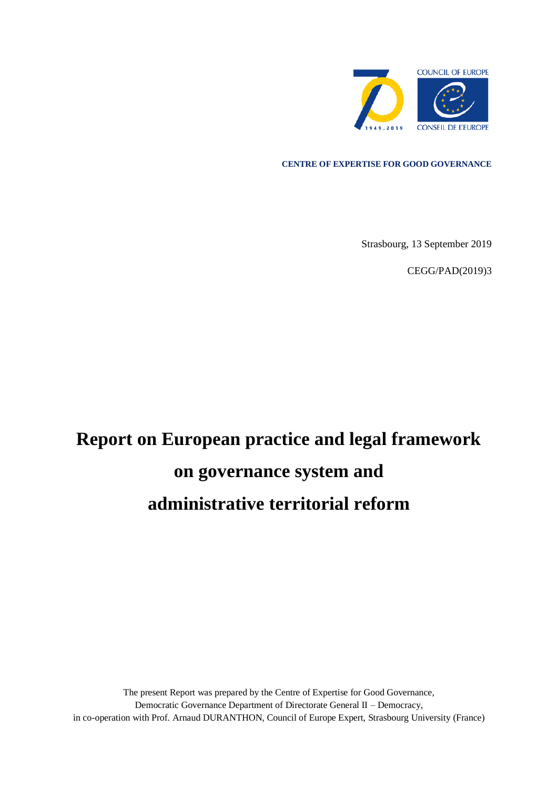

**CENTRE OF EXPERTISE FOR GOOD GOVERNANCE**

Strasbourg, 13 September 2019

CEGG/PAD(2019)3

# **Report on European practice and legal framework on governance system and administrative territorial reform**

The present Report was prepared by the Centre of Expertise for Good Governance, Democratic Governance Department of Directorate General II – Democracy, in co-operation with Prof. Arnaud DURANTHON, Council of Europe Expert, Strasbourg University (France)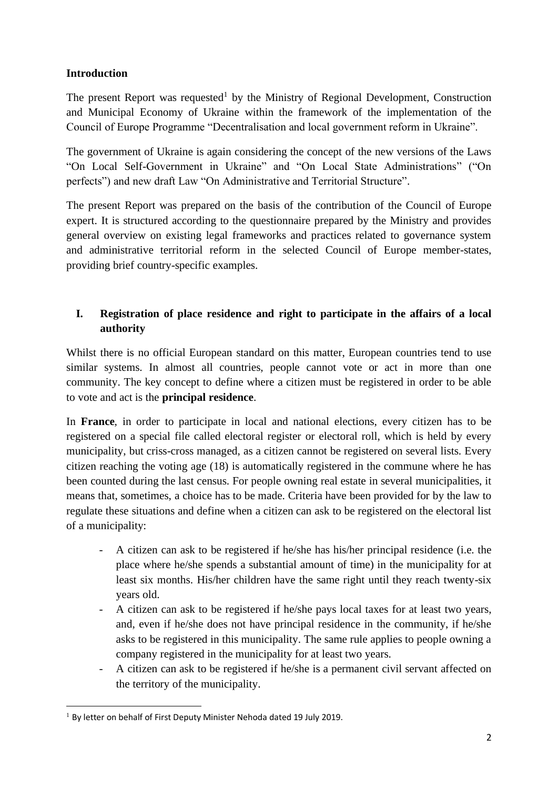## **Introduction**

The present Report was requested<sup>1</sup> by the Ministry of Regional Development, Construction and Municipal Economy of Ukraine within the framework of the implementation of the Council of Europe Programme "Decentralisation and local government reform in Ukraine".

The government of Ukraine is again considering the concept of the new versions of the Laws "On Local Self-Government in Ukraine" and "On Local State Administrations" ("On perfects") and new draft Law "On Administrative and Territorial Structure".

The present Report was prepared on the basis of the contribution of the Council of Europe expert. It is structured according to the questionnaire prepared by the Ministry and provides general overview on existing legal frameworks and practices related to governance system and administrative territorial reform in the selected Council of Europe member-states, providing brief country-specific examples.

# **I. Registration of place residence and right to participate in the affairs of a local authority**

Whilst there is no official European standard on this matter, European countries tend to use similar systems. In almost all countries, people cannot vote or act in more than one community. The key concept to define where a citizen must be registered in order to be able to vote and act is the **principal residence**.

In **France**, in order to participate in local and national elections, every citizen has to be registered on a special file called electoral register or electoral roll, which is held by every municipality, but criss-cross managed, as a citizen cannot be registered on several lists. Every citizen reaching the voting age (18) is automatically registered in the commune where he has been counted during the last census. For people owning real estate in several municipalities, it means that, sometimes, a choice has to be made. Criteria have been provided for by the law to regulate these situations and define when a citizen can ask to be registered on the electoral list of a municipality:

- A citizen can ask to be registered if he/she has his/her principal residence (i.e. the place where he/she spends a substantial amount of time) in the municipality for at least six months. His/her children have the same right until they reach twenty-six years old.
- A citizen can ask to be registered if he/she pays local taxes for at least two years, and, even if he/she does not have principal residence in the community, if he/she asks to be registered in this municipality. The same rule applies to people owning a company registered in the municipality for at least two years.
- A citizen can ask to be registered if he/she is a permanent civil servant affected on the territory of the municipality.

<sup>&</sup>lt;sup>1</sup> By letter on behalf of First Deputy Minister Nehoda dated 19 July 2019.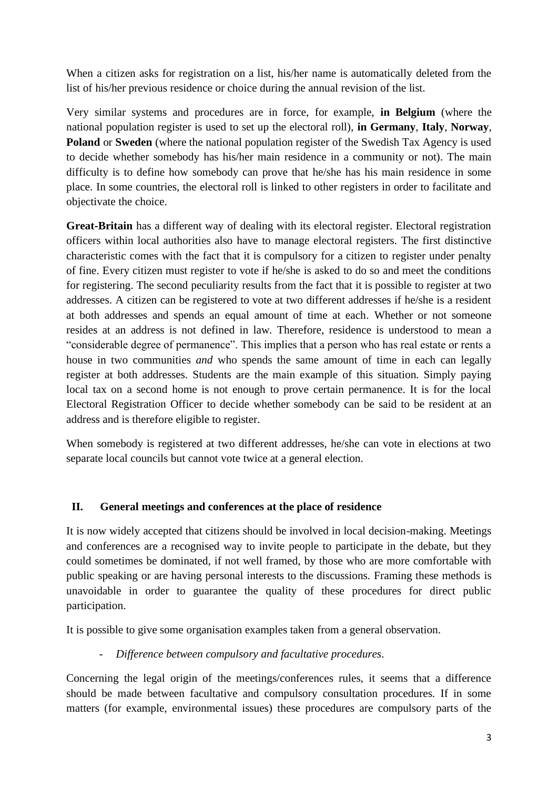When a citizen asks for registration on a list, his/her name is automatically deleted from the list of his/her previous residence or choice during the annual revision of the list.

Very similar systems and procedures are in force, for example, **in Belgium** (where the national population register is used to set up the electoral roll), **in Germany**, **Italy**, **Norway**, **Poland** or **Sweden** (where the national population register of the Swedish Tax Agency is used to decide whether somebody has his/her main residence in a community or not). The main difficulty is to define how somebody can prove that he/she has his main residence in some place. In some countries, the electoral roll is linked to other registers in order to facilitate and objectivate the choice.

**Great-Britain** has a different way of dealing with its electoral register. Electoral registration officers within local authorities also have to manage electoral registers. The first distinctive characteristic comes with the fact that it is compulsory for a citizen to register under penalty of fine. Every citizen must register to vote if he/she is asked to do so and meet the conditions for registering. The second peculiarity results from the fact that it is possible to register at two addresses. A citizen can be registered to vote at two different addresses if he/she is a resident at both addresses and spends an equal amount of time at each. Whether or not someone resides at an address is not defined in law. Therefore, residence is understood to mean a "considerable degree of permanence". This implies that a person who has real estate or rents a house in two communities *and* who spends the same amount of time in each can legally register at both addresses. Students are the main example of this situation. Simply paying local tax on a second home is not enough to prove certain permanence. It is for the local Electoral Registration Officer to decide whether somebody can be said to be resident at an address and is therefore eligible to register.

When somebody is registered at two different addresses, he/she can vote in elections at two separate local councils but cannot vote twice at a general election.

## **II. General meetings and conferences at the place of residence**

It is now widely accepted that citizens should be involved in local decision-making. Meetings and conferences are a recognised way to invite people to participate in the debate, but they could sometimes be dominated, if not well framed, by those who are more comfortable with public speaking or are having personal interests to the discussions. Framing these methods is unavoidable in order to guarantee the quality of these procedures for direct public participation.

It is possible to give some organisation examples taken from a general observation.

- *Difference between compulsory and facultative procedures.* 

Concerning the legal origin of the meetings/conferences rules, it seems that a difference should be made between facultative and compulsory consultation procedures. If in some matters (for example, environmental issues) these procedures are compulsory parts of the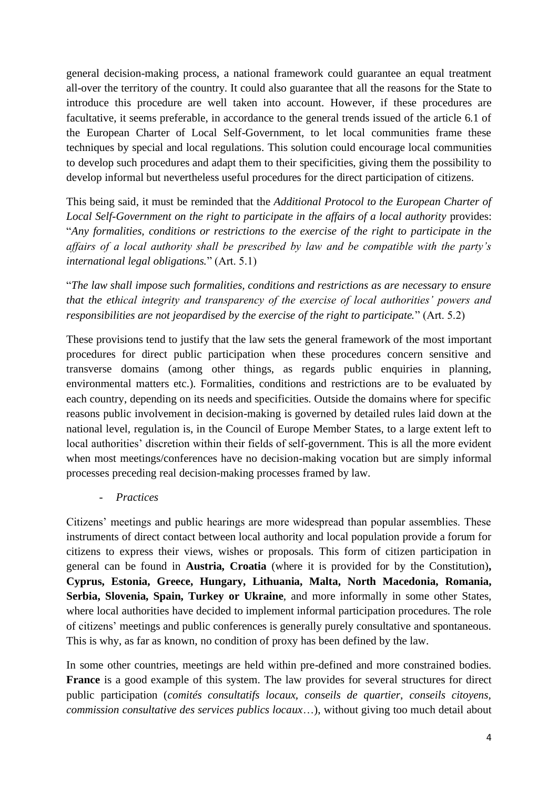general decision-making process, a national framework could guarantee an equal treatment all-over the territory of the country. It could also guarantee that all the reasons for the State to introduce this procedure are well taken into account. However, if these procedures are facultative, it seems preferable, in accordance to the general trends issued of the article 6.1 of the European Charter of Local Self-Government, to let local communities frame these techniques by special and local regulations. This solution could encourage local communities to develop such procedures and adapt them to their specificities, giving them the possibility to develop informal but nevertheless useful procedures for the direct participation of citizens.

This being said, it must be reminded that the *Additional Protocol to the European Charter of Local Self-Government on the right to participate in the affairs of a local authority* provides: "*Any formalities, conditions or restrictions to the exercise of the right to participate in the affairs of a local authority shall be prescribed by law and be compatible with the party's international legal obligations.*" (Art. 5.1)

"*The law shall impose such formalities, conditions and restrictions as are necessary to ensure that the ethical integrity and transparency of the exercise of local authorities' powers and responsibilities are not jeopardised by the exercise of the right to participate.*" (Art. 5.2)

These provisions tend to justify that the law sets the general framework of the most important procedures for direct public participation when these procedures concern sensitive and transverse domains (among other things, as regards public enquiries in planning, environmental matters etc.). Formalities, conditions and restrictions are to be evaluated by each country, depending on its needs and specificities. Outside the domains where for specific reasons public involvement in decision-making is governed by detailed rules laid down at the national level, regulation is, in the Council of Europe Member States, to a large extent left to local authorities' discretion within their fields of self-government. This is all the more evident when most meetings/conferences have no decision-making vocation but are simply informal processes preceding real decision-making processes framed by law.

- *Practices*

Citizens' meetings and public hearings are more widespread than popular assemblies. These instruments of direct contact between local authority and local population provide a forum for citizens to express their views, wishes or proposals. This form of citizen participation in general can be found in **Austria, Croatia** (where it is provided for by the Constitution)**, Cyprus, Estonia, Greece, Hungary, Lithuania, Malta, North Macedonia, Romania, Serbia, Slovenia, Spain, Turkey or Ukraine**, and more informally in some other States, where local authorities have decided to implement informal participation procedures. The role of citizens' meetings and public conferences is generally purely consultative and spontaneous. This is why, as far as known, no condition of proxy has been defined by the law.

In some other countries, meetings are held within pre-defined and more constrained bodies. **France** is a good example of this system. The law provides for several structures for direct public participation (*comités consultatifs locaux, conseils de quartier, conseils citoyens, commission consultative des services publics locaux*…), without giving too much detail about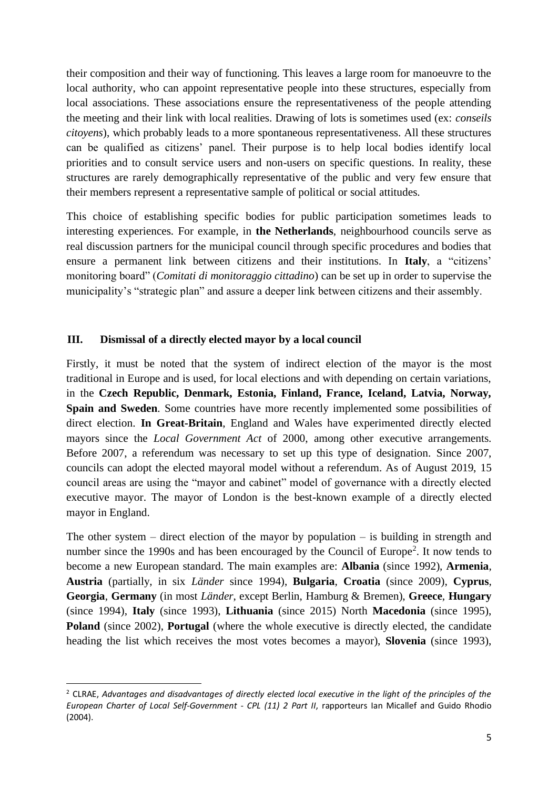their composition and their way of functioning. This leaves a large room for manoeuvre to the local authority, who can appoint representative people into these structures, especially from local associations. These associations ensure the representativeness of the people attending the meeting and their link with local realities. Drawing of lots is sometimes used (ex: *conseils citoyens*), which probably leads to a more spontaneous representativeness. All these structures can be qualified as citizens' panel. Their purpose is to help local bodies identify local priorities and to consult service users and non-users on specific questions. In reality, these structures are rarely demographically representative of the public and very few ensure that their members represent a representative sample of political or social attitudes.

This choice of establishing specific bodies for public participation sometimes leads to interesting experiences. For example, in **the Netherlands**, neighbourhood councils serve as real discussion partners for the municipal council through specific procedures and bodies that ensure a permanent link between citizens and their institutions. In **Italy**, a "citizens' monitoring board" (*Comitati di monitoraggio cittadino*) can be set up in order to supervise the municipality's "strategic plan" and assure a deeper link between citizens and their assembly.

## **III. Dismissal of a directly elected mayor by a local council**

Firstly, it must be noted that the system of indirect election of the mayor is the most traditional in Europe and is used, for local elections and with depending on certain variations, in the **Czech Republic, Denmark, Estonia, Finland, France, Iceland, Latvia, Norway, Spain and Sweden**. Some countries have more recently implemented some possibilities of direct election. **In Great-Britain**, England and Wales have experimented directly elected mayors since the *Local Government Act* of 2000, among other executive arrangements. Before 2007, a referendum was necessary to set up this type of designation. Since 2007, councils can adopt the elected mayoral model without a referendum. As of August 2019, 15 council areas are using the "mayor and cabinet" model of governance with a directly elected executive mayor. The mayor of London is the best-known example of a directly elected mayor in England.

The other system – direct election of the mayor by population – is building in strength and number since the 1990s and has been encouraged by the Council of Europe<sup>2</sup>. It now tends to become a new European standard. The main examples are: **Albania** (since 1992), **Armenia**, **Austria** (partially, in six *Länder* since 1994), **Bulgaria**, **Croatia** (since 2009), **Cyprus**, **Georgia**, **Germany** (in most *Länder*, except Berlin, Hamburg & Bremen), **Greece**, **Hungary**  (since 1994), **Italy** (since 1993), **Lithuania** (since 2015) North **Macedonia** (since 1995), **Poland** (since 2002), **Portugal** (where the whole executive is directly elected, the candidate heading the list which receives the most votes becomes a mayor), **Slovenia** (since 1993),

<sup>2</sup> CLRAE, *Advantages and disadvantages of directly elected local executive in the light of the principles of the European Charter of Local Self-Government - CPL (11) 2 Part II*, rapporteurs Ian Micallef and Guido Rhodio (2004).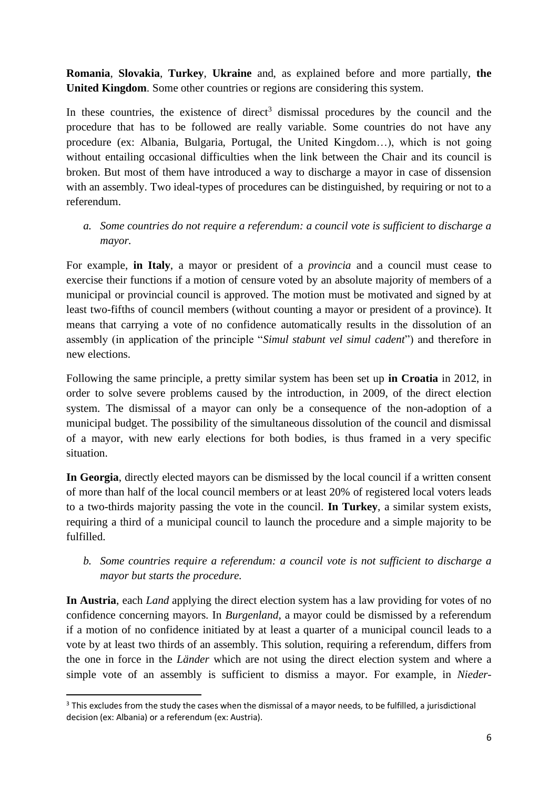**Romania**, **Slovakia**, **Turkey**, **Ukraine** and, as explained before and more partially, **the United Kingdom**. Some other countries or regions are considering this system.

In these countries, the existence of direct<sup>3</sup> dismissal procedures by the council and the procedure that has to be followed are really variable. Some countries do not have any procedure (ex: Albania, Bulgaria, Portugal, the United Kingdom…), which is not going without entailing occasional difficulties when the link between the Chair and its council is broken. But most of them have introduced a way to discharge a mayor in case of dissension with an assembly. Two ideal-types of procedures can be distinguished, by requiring or not to a referendum.

## *a. Some countries do not require a referendum: a council vote is sufficient to discharge a mayor.*

For example, **in Italy**, a mayor or president of a *provincia* and a council must cease to exercise their functions if a motion of censure voted by an absolute majority of members of a municipal or provincial council is approved. The motion must be motivated and signed by at least two-fifths of council members (without counting a mayor or president of a province). It means that carrying a vote of no confidence automatically results in the dissolution of an assembly (in application of the principle "*Simul stabunt vel simul cadent*") and therefore in new elections.

Following the same principle, a pretty similar system has been set up **in Croatia** in 2012, in order to solve severe problems caused by the introduction, in 2009, of the direct election system. The dismissal of a mayor can only be a consequence of the non-adoption of a municipal budget. The possibility of the simultaneous dissolution of the council and dismissal of a mayor, with new early elections for both bodies, is thus framed in a very specific situation.

**In Georgia**, directly elected mayors can be dismissed by the local council if a written consent of more than half of the local council members or at least 20% of registered local voters leads to a two-thirds majority passing the vote in the council. **In Turkey**, a similar system exists, requiring a third of a municipal council to launch the procedure and a simple majority to be fulfilled.

# *b. Some countries require a referendum: a council vote is not sufficient to discharge a mayor but starts the procedure.*

**In Austria**, each *Land* applying the direct election system has a law providing for votes of no confidence concerning mayors. In *Burgenland*, a mayor could be dismissed by a referendum if a motion of no confidence initiated by at least a quarter of a municipal council leads to a vote by at least two thirds of an assembly. This solution, requiring a referendum, differs from the one in force in the *Länder* which are not using the direct election system and where a simple vote of an assembly is sufficient to dismiss a mayor. For example, in *Nieder-*

<sup>&</sup>lt;sup>3</sup> This excludes from the study the cases when the dismissal of a mayor needs, to be fulfilled, a jurisdictional decision (ex: Albania) or a referendum (ex: Austria).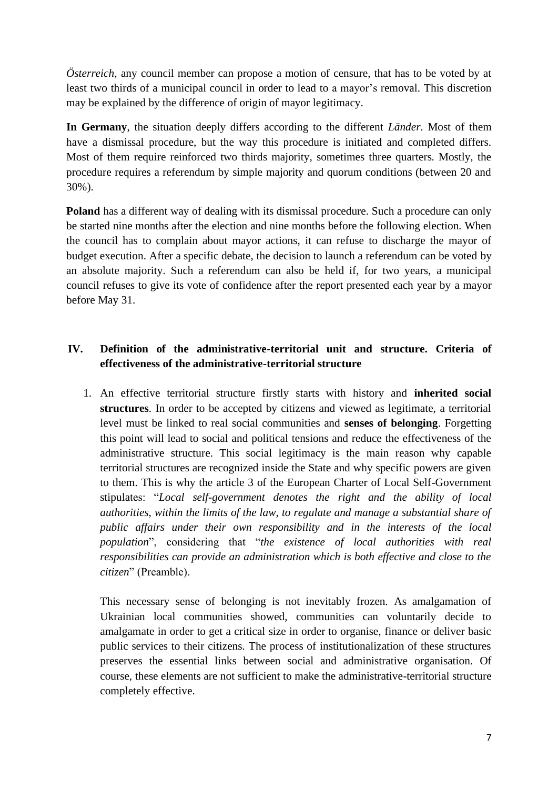*Österreich*, any council member can propose a motion of censure, that has to be voted by at least two thirds of a municipal council in order to lead to a mayor's removal. This discretion may be explained by the difference of origin of mayor legitimacy.

**In Germany**, the situation deeply differs according to the different *Länder*. Most of them have a dismissal procedure, but the way this procedure is initiated and completed differs. Most of them require reinforced two thirds majority, sometimes three quarters. Mostly, the procedure requires a referendum by simple majority and quorum conditions (between 20 and 30%).

**Poland** has a different way of dealing with its dismissal procedure. Such a procedure can only be started nine months after the election and nine months before the following election. When the council has to complain about mayor actions, it can refuse to discharge the mayor of budget execution. After a specific debate, the decision to launch a referendum can be voted by an absolute majority. Such a referendum can also be held if, for two years, a municipal council refuses to give its vote of confidence after the report presented each year by a mayor before May 31.

## **IV. Definition of the administrative-territorial unit and structure. Criteria of effectiveness of the administrative-territorial structure**

1. An effective territorial structure firstly starts with history and **inherited social structures**. In order to be accepted by citizens and viewed as legitimate, a territorial level must be linked to real social communities and **senses of belonging**. Forgetting this point will lead to social and political tensions and reduce the effectiveness of the administrative structure. This social legitimacy is the main reason why capable territorial structures are recognized inside the State and why specific powers are given to them. This is why the article 3 of the European Charter of Local Self-Government stipulates: "*Local self-government denotes the right and the ability of local authorities, within the limits of the law, to regulate and manage a substantial share of public affairs under their own responsibility and in the interests of the local population*", considering that "*the existence of local authorities with real responsibilities can provide an administration which is both effective and close to the citizen*" (Preamble).

This necessary sense of belonging is not inevitably frozen. As amalgamation of Ukrainian local communities showed, communities can voluntarily decide to amalgamate in order to get a critical size in order to organise, finance or deliver basic public services to their citizens. The process of institutionalization of these structures preserves the essential links between social and administrative organisation. Of course, these elements are not sufficient to make the administrative-territorial structure completely effective.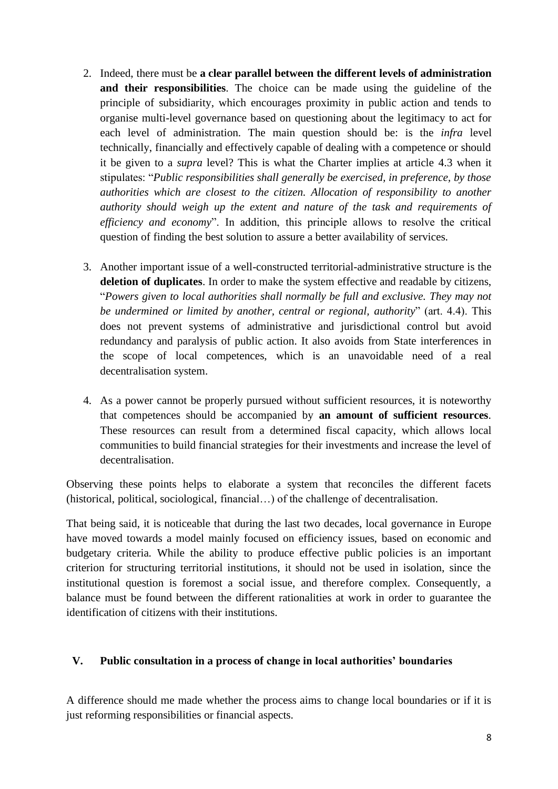- 2. Indeed, there must be **a clear parallel between the different levels of administration and their responsibilities**. The choice can be made using the guideline of the principle of subsidiarity, which encourages proximity in public action and tends to organise multi-level governance based on questioning about the legitimacy to act for each level of administration. The main question should be: is the *infra* level technically, financially and effectively capable of dealing with a competence or should it be given to a *supra* level? This is what the Charter implies at article 4.3 when it stipulates: "*Public responsibilities shall generally be exercised, in preference, by those authorities which are closest to the citizen. Allocation of responsibility to another authority should weigh up the extent and nature of the task and requirements of efficiency and economy*". In addition, this principle allows to resolve the critical question of finding the best solution to assure a better availability of services.
- 3. Another important issue of a well-constructed territorial-administrative structure is the **deletion of duplicates**. In order to make the system effective and readable by citizens, "*Powers given to local authorities shall normally be full and exclusive. They may not be undermined or limited by another, central or regional, authority*" (art. 4.4). This does not prevent systems of administrative and jurisdictional control but avoid redundancy and paralysis of public action. It also avoids from State interferences in the scope of local competences, which is an unavoidable need of a real decentralisation system.
- 4. As a power cannot be properly pursued without sufficient resources, it is noteworthy that competences should be accompanied by **an amount of sufficient resources**. These resources can result from a determined fiscal capacity, which allows local communities to build financial strategies for their investments and increase the level of decentralisation.

Observing these points helps to elaborate a system that reconciles the different facets (historical, political, sociological, financial…) of the challenge of decentralisation.

That being said, it is noticeable that during the last two decades, local governance in Europe have moved towards a model mainly focused on efficiency issues, based on economic and budgetary criteria. While the ability to produce effective public policies is an important criterion for structuring territorial institutions, it should not be used in isolation, since the institutional question is foremost a social issue, and therefore complex. Consequently, a balance must be found between the different rationalities at work in order to guarantee the identification of citizens with their institutions.

#### **V. Public consultation in a process of change in local authorities' boundaries**

A difference should me made whether the process aims to change local boundaries or if it is just reforming responsibilities or financial aspects.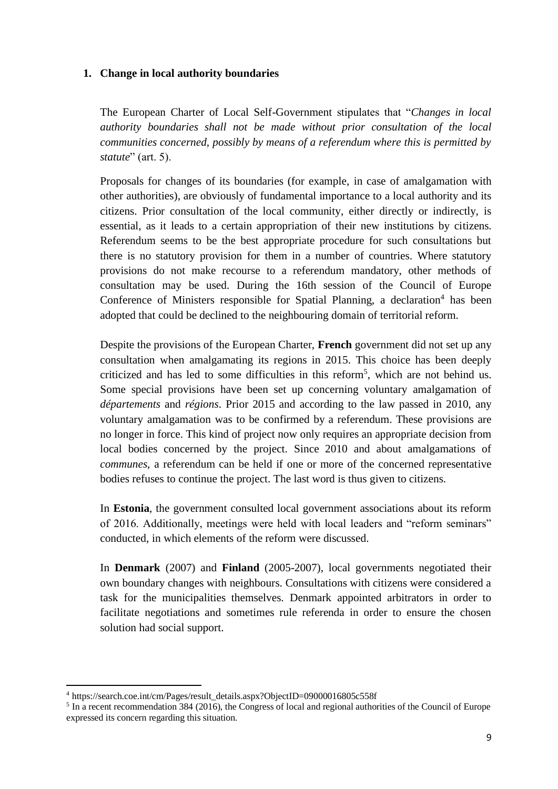#### **1. Change in local authority boundaries**

The European Charter of Local Self-Government stipulates that "*Changes in local authority boundaries shall not be made without prior consultation of the local communities concerned, possibly by means of a referendum where this is permitted by statute*" (art. 5).

Proposals for changes of its boundaries (for example, in case of amalgamation with other authorities), are obviously of fundamental importance to a local authority and its citizens. Prior consultation of the local community, either directly or indirectly, is essential, as it leads to a certain appropriation of their new institutions by citizens. Referendum seems to be the best appropriate procedure for such consultations but there is no statutory provision for them in a number of countries. Where statutory provisions do not make recourse to a referendum mandatory, other methods of consultation may be used. During the 16th session of the Council of Europe Conference of Ministers responsible for Spatial Planning, a declaration<sup>4</sup> has been adopted that could be declined to the neighbouring domain of territorial reform.

Despite the provisions of the European Charter, **French** government did not set up any consultation when amalgamating its regions in 2015. This choice has been deeply criticized and has led to some difficulties in this reform<sup>5</sup>, which are not behind us. Some special provisions have been set up concerning voluntary amalgamation of *départements* and *régions*. Prior 2015 and according to the law passed in 2010, any voluntary amalgamation was to be confirmed by a referendum. These provisions are no longer in force. This kind of project now only requires an appropriate decision from local bodies concerned by the project. Since 2010 and about amalgamations of *communes*, a referendum can be held if one or more of the concerned representative bodies refuses to continue the project. The last word is thus given to citizens.

In **Estonia**, the government consulted local government associations about its reform of 2016. Additionally, meetings were held with local leaders and "reform seminars" conducted, in which elements of the reform were discussed.

In **Denmark** (2007) and **Finland** (2005-2007), local governments negotiated their own boundary changes with neighbours. Consultations with citizens were considered a task for the municipalities themselves. Denmark appointed arbitrators in order to facilitate negotiations and sometimes rule referenda in order to ensure the chosen solution had social support.

<sup>4</sup> https://search.coe.int/cm/Pages/result\_details.aspx?ObjectID=09000016805c558f

<sup>&</sup>lt;sup>5</sup> In a recent recommendation 384 (2016), the Congress of local and regional authorities of the Council of Europe expressed its concern regarding this situation.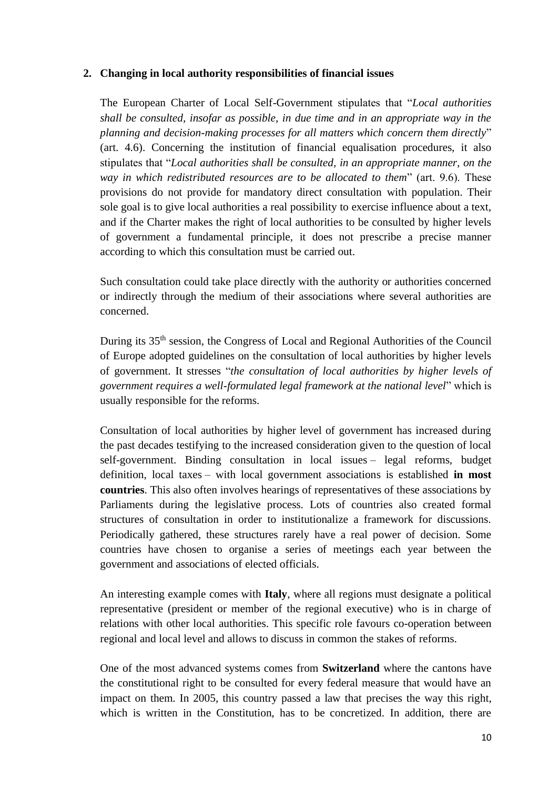#### **2. Changing in local authority responsibilities of financial issues**

The European Charter of Local Self-Government stipulates that "*Local authorities shall be consulted, insofar as possible, in due time and in an appropriate way in the planning and decision-making processes for all matters which concern them directly*" (art. 4.6). Concerning the institution of financial equalisation procedures, it also stipulates that "*Local authorities shall be consulted, in an appropriate manner, on the way in which redistributed resources are to be allocated to them*" (art. 9.6). These provisions do not provide for mandatory direct consultation with population. Their sole goal is to give local authorities a real possibility to exercise influence about a text, and if the Charter makes the right of local authorities to be consulted by higher levels of government a fundamental principle, it does not prescribe a precise manner according to which this consultation must be carried out.

Such consultation could take place directly with the authority or authorities concerned or indirectly through the medium of their associations where several authorities are concerned.

During its 35<sup>th</sup> session, the Congress of Local and Regional Authorities of the Council of Europe adopted guidelines on the consultation of local authorities by higher levels of government. It stresses "*the consultation of local authorities by higher levels of government requires a well-formulated legal framework at the national level*" which is usually responsible for the reforms.

Consultation of local authorities by higher level of government has increased during the past decades testifying to the increased consideration given to the question of local self-government. Binding consultation in local issues – legal reforms, budget definition, local taxes – with local government associations is established **in most countries**. This also often involves hearings of representatives of these associations by Parliaments during the legislative process. Lots of countries also created formal structures of consultation in order to institutionalize a framework for discussions. Periodically gathered, these structures rarely have a real power of decision. Some countries have chosen to organise a series of meetings each year between the government and associations of elected officials.

An interesting example comes with **Italy**, where all regions must designate a political representative (president or member of the regional executive) who is in charge of relations with other local authorities. This specific role favours co-operation between regional and local level and allows to discuss in common the stakes of reforms.

One of the most advanced systems comes from **Switzerland** where the cantons have the constitutional right to be consulted for every federal measure that would have an impact on them. In 2005, this country passed a law that precises the way this right, which is written in the Constitution, has to be concretized. In addition, there are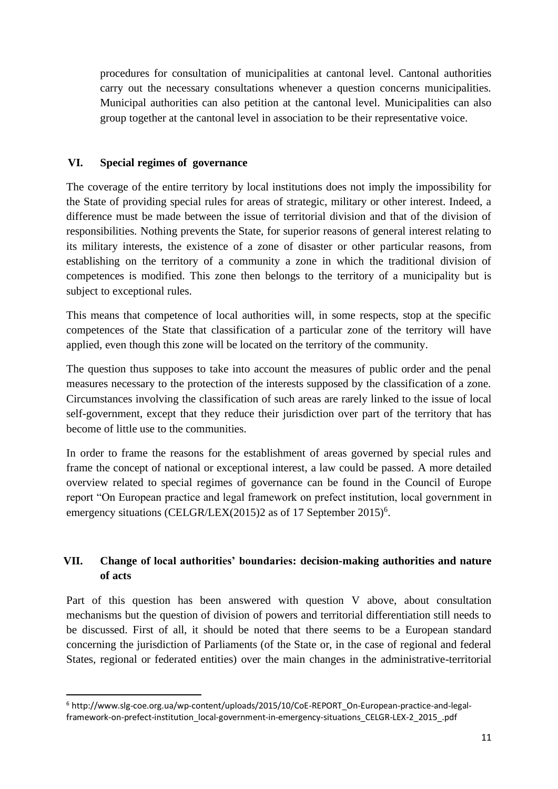procedures for consultation of municipalities at cantonal level. Cantonal authorities carry out the necessary consultations whenever a question concerns municipalities. Municipal authorities can also petition at the cantonal level. Municipalities can also group together at the cantonal level in association to be their representative voice.

### **VI. Special regimes of governance**

The coverage of the entire territory by local institutions does not imply the impossibility for the State of providing special rules for areas of strategic, military or other interest. Indeed, a difference must be made between the issue of territorial division and that of the division of responsibilities. Nothing prevents the State, for superior reasons of general interest relating to its military interests, the existence of a zone of disaster or other particular reasons, from establishing on the territory of a community a zone in which the traditional division of competences is modified. This zone then belongs to the territory of a municipality but is subject to exceptional rules.

This means that competence of local authorities will, in some respects, stop at the specific competences of the State that classification of a particular zone of the territory will have applied, even though this zone will be located on the territory of the community.

The question thus supposes to take into account the measures of public order and the penal measures necessary to the protection of the interests supposed by the classification of a zone. Circumstances involving the classification of such areas are rarely linked to the issue of local self-government, except that they reduce their jurisdiction over part of the territory that has become of little use to the communities.

In order to frame the reasons for the establishment of areas governed by special rules and frame the concept of national or exceptional interest, a law could be passed. A more detailed overview related to special regimes of governance can be found in the Council of Europe report "On European practice and legal framework on prefect institution, local government in emergency situations (CELGR/LEX(2015)2 as of 17 September 2015)<sup>6</sup>.

# **VII. Change of local authorities' boundaries: decision-making authorities and nature of acts**

Part of this question has been answered with question V above, about consultation mechanisms but the question of division of powers and territorial differentiation still needs to be discussed. First of all, it should be noted that there seems to be a European standard concerning the jurisdiction of Parliaments (of the State or, in the case of regional and federal States, regional or federated entities) over the main changes in the administrative-territorial

<sup>6</sup> http://www.slg-coe.org.ua/wp-content/uploads/2015/10/CoE-REPORT\_On-European-practice-and-legalframework-on-prefect-institution\_local-government-in-emergency-situations\_CELGR-LEX-2\_2015\_.pdf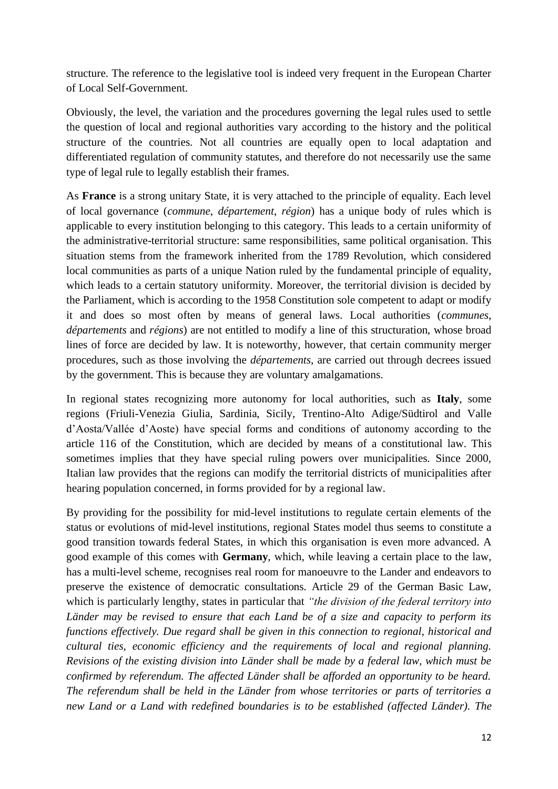structure. The reference to the legislative tool is indeed very frequent in the European Charter of Local Self-Government.

Obviously, the level, the variation and the procedures governing the legal rules used to settle the question of local and regional authorities vary according to the history and the political structure of the countries. Not all countries are equally open to local adaptation and differentiated regulation of community statutes, and therefore do not necessarily use the same type of legal rule to legally establish their frames.

As **France** is a strong unitary State, it is very attached to the principle of equality. Each level of local governance (*commune*, *département*, *région*) has a unique body of rules which is applicable to every institution belonging to this category. This leads to a certain uniformity of the administrative-territorial structure: same responsibilities, same political organisation. This situation stems from the framework inherited from the 1789 Revolution, which considered local communities as parts of a unique Nation ruled by the fundamental principle of equality, which leads to a certain statutory uniformity. Moreover, the territorial division is decided by the Parliament, which is according to the 1958 Constitution sole competent to adapt or modify it and does so most often by means of general laws. Local authorities (*communes*, *départements* and *régions*) are not entitled to modify a line of this structuration, whose broad lines of force are decided by law. It is noteworthy, however, that certain community merger procedures, such as those involving the *départements*, are carried out through decrees issued by the government. This is because they are voluntary amalgamations.

In regional states recognizing more autonomy for local authorities, such as **Italy**, some regions (Friuli-Venezia Giulia, Sardinia, Sicily, Trentino-Alto Adige/Südtirol and Valle d'Aosta/Vallée d'Aoste) have special forms and conditions of autonomy according to the article 116 of the Constitution, which are decided by means of a constitutional law. This sometimes implies that they have special ruling powers over municipalities. Since 2000, Italian law provides that the regions can modify the territorial districts of municipalities after hearing population concerned, in forms provided for by a regional law.

By providing for the possibility for mid-level institutions to regulate certain elements of the status or evolutions of mid-level institutions, regional States model thus seems to constitute a good transition towards federal States, in which this organisation is even more advanced. A good example of this comes with **Germany**, which, while leaving a certain place to the law, has a multi-level scheme, recognises real room for manoeuvre to the Lander and endeavors to preserve the existence of democratic consultations. Article 29 of the German Basic Law, which is particularly lengthy, states in particular that *"the division of the federal territory into Länder may be revised to ensure that each Land be of a size and capacity to perform its functions effectively. Due regard shall be given in this connection to regional, historical and cultural ties, economic efficiency and the requirements of local and regional planning. Revisions of the existing division into Länder shall be made by a federal law, which must be confirmed by referendum. The affected Länder shall be afforded an opportunity to be heard. The referendum shall be held in the Länder from whose territories or parts of territories a new Land or a Land with redefined boundaries is to be established (affected Länder). The*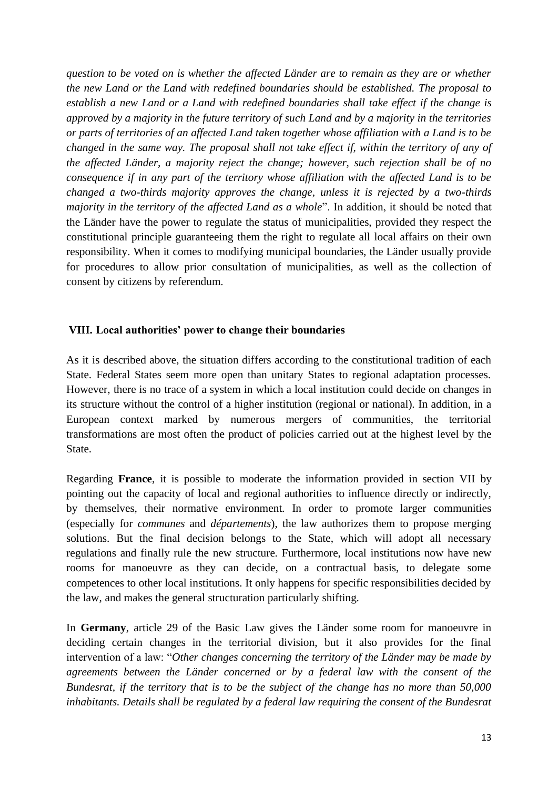*question to be voted on is whether the affected Länder are to remain as they are or whether the new Land or the Land with redefined boundaries should be established. The proposal to establish a new Land or a Land with redefined boundaries shall take effect if the change is approved by a majority in the future territory of such Land and by a majority in the territories or parts of territories of an affected Land taken together whose affiliation with a Land is to be changed in the same way. The proposal shall not take effect if, within the territory of any of the affected Länder, a majority reject the change; however, such rejection shall be of no consequence if in any part of the territory whose affiliation with the affected Land is to be changed a two-thirds majority approves the change, unless it is rejected by a two-thirds majority in the territory of the affected Land as a whole*". In addition, it should be noted that the Länder have the power to regulate the status of municipalities, provided they respect the constitutional principle guaranteeing them the right to regulate all local affairs on their own responsibility. When it comes to modifying municipal boundaries, the Länder usually provide for procedures to allow prior consultation of municipalities, as well as the collection of consent by citizens by referendum.

#### **VIII. Local authorities' power to change their boundaries**

As it is described above, the situation differs according to the constitutional tradition of each State. Federal States seem more open than unitary States to regional adaptation processes. However, there is no trace of a system in which a local institution could decide on changes in its structure without the control of a higher institution (regional or national). In addition, in a European context marked by numerous mergers of communities, the territorial transformations are most often the product of policies carried out at the highest level by the State.

Regarding **France**, it is possible to moderate the information provided in section VII by pointing out the capacity of local and regional authorities to influence directly or indirectly, by themselves, their normative environment. In order to promote larger communities (especially for *communes* and *départements*), the law authorizes them to propose merging solutions. But the final decision belongs to the State, which will adopt all necessary regulations and finally rule the new structure. Furthermore, local institutions now have new rooms for manoeuvre as they can decide, on a contractual basis, to delegate some competences to other local institutions. It only happens for specific responsibilities decided by the law, and makes the general structuration particularly shifting.

In **Germany**, article 29 of the Basic Law gives the Länder some room for manoeuvre in deciding certain changes in the territorial division, but it also provides for the final intervention of a law: "*Other changes concerning the territory of the Länder may be made by agreements between the Länder concerned or by a federal law with the consent of the Bundesrat, if the territory that is to be the subject of the change has no more than 50,000 inhabitants. Details shall be regulated by a federal law requiring the consent of the Bundesrat*